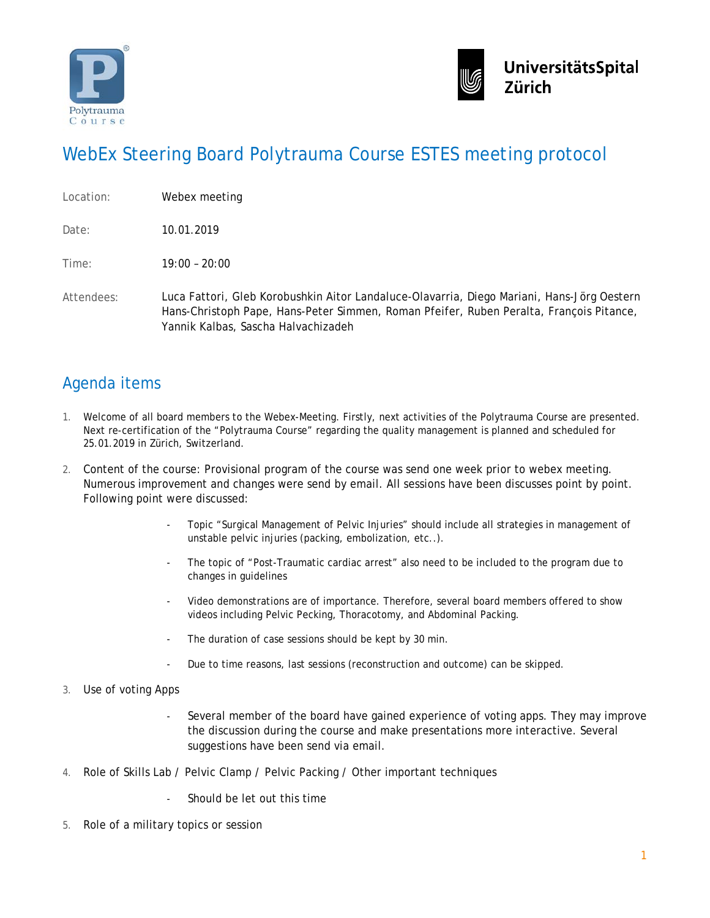



## WebEx Steering Board Polytrauma Course ESTES meeting protocol

| Webex meeting |
|---------------|
|               |

Date: 10.01.2019

Time: 19:00 – 20:00

Attendees: Luca Fattori, Gleb Korobushkin Aitor Landaluce-Olavarria, Diego Mariani, Hans-Jörg Oestern Hans-Christoph Pape, Hans-Peter Simmen, Roman Pfeifer, Ruben Peralta, François Pitance, Yannik Kalbas, Sascha Halvachizadeh

## Agenda items

- 1. Welcome of all board members to the Webex-Meeting. Firstly, next activities of the Polytrauma Course are presented. Next re-certification of the "Polytrauma Course" regarding the quality management is planned and scheduled for 25.01.2019 in Zürich, Switzerland.
- 2. Content of the course: Provisional program of the course was send one week prior to webex meeting. Numerous improvement and changes were send by email. All sessions have been discusses point by point. Following point were discussed:
	- Topic "Surgical Management of Pelvic Injuries" should include all strategies in management of unstable pelvic injuries (packing, embolization, etc..).
	- The topic of "Post-Traumatic cardiac arrest" also need to be included to the program due to changes in guidelines
	- Video demonstrations are of importance. Therefore, several board members offered to show videos including Pelvic Pecking, Thoracotomy, and Abdominal Packing.
	- The duration of case sessions should be kept by 30 min.
	- Due to time reasons, last sessions (reconstruction and outcome) can be skipped.
- 3. Use of voting Apps
	- Several member of the board have gained experience of voting apps. They may improve the discussion during the course and make presentations more interactive. Several suggestions have been send via email.
- 4. Role of Skills Lab / Pelvic Clamp / Pelvic Packing / Other important techniques
	- Should be let out this time
- 5. Role of a military topics or session